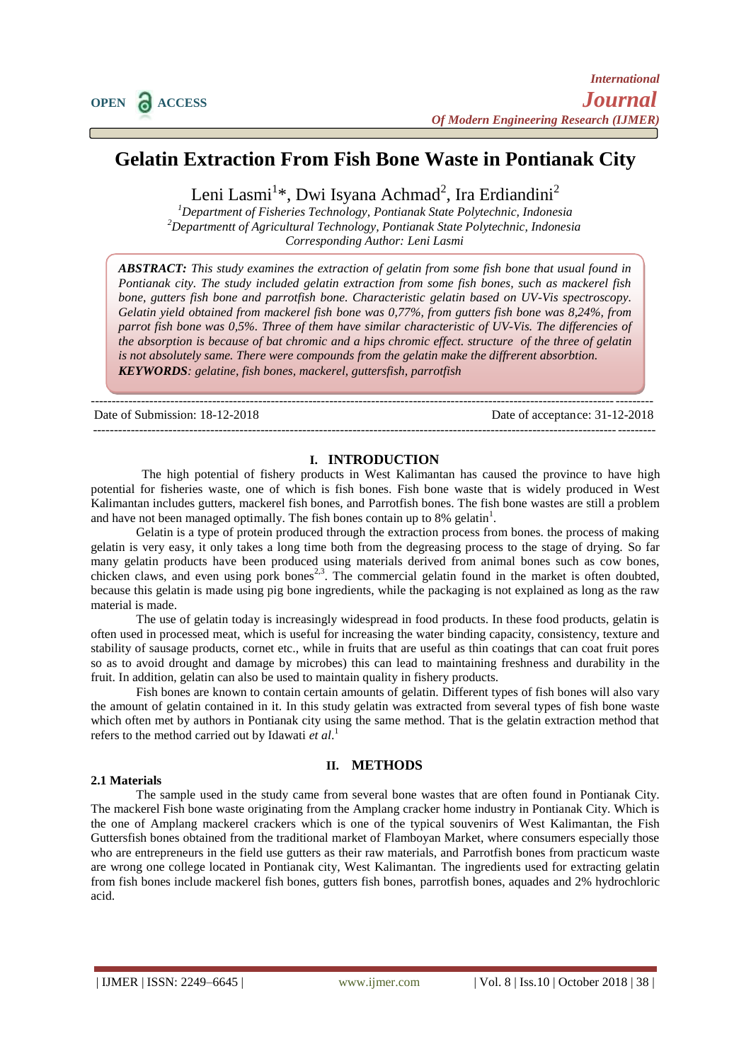# **Gelatin Extraction From Fish Bone Waste in Pontianak City**

Leni Lasmi<sup>1</sup>\*, Dwi Isyana Achmad<sup>2</sup>, Ira Erdiandini<sup>2</sup>

*<sup>1</sup>Department of Fisheries Technology, Pontianak State Polytechnic, Indonesia <sup>2</sup>Departmentt of Agricultural Technology, Pontianak State Polytechnic, Indonesia Corresponding Author: Leni Lasmi*

*ABSTRACT: This study examines the extraction of gelatin from some fish bone that usual found in Pontianak city. The study included gelatin extraction from some fish bones, such as mackerel fish bone, gutters fish bone and parrotfish bone. Characteristic gelatin based on UV-Vis spectroscopy. Gelatin yield obtained from mackerel fish bone was 0,77%, from gutters fish bone was 8,24%, from parrot fish bone was 0,5%. Three of them have similar characteristic of UV-Vis. The differencies of the absorption is because of bat chromic and a hips chromic effect. structure of the three of gelatin is not absolutely same. There were compounds from the gelatin make the diffrerent absorbtion. KEYWORDS: gelatine, fish bones, mackerel, guttersfish, parrotfish*

Date of Submission: 18-12-2018 Date of acceptance: 31-12-2018

--------------------------------------------------------------------------------------------------------------------------------------

## **I. INTRODUCTION**

--------------------------------------------------------------------------------------------------------------------------------------

The high potential of fishery products in West Kalimantan has caused the province to have high potential for fisheries waste, one of which is fish bones. Fish bone waste that is widely produced in West Kalimantan includes gutters, mackerel fish bones, and Parrotfish bones. The fish bone wastes are still a problem and have not been managed optimally. The fish bones contain up to 8% gelatin<sup>1</sup>.

Gelatin is a type of protein produced through the extraction process from bones. the process of making gelatin is very easy, it only takes a long time both from the degreasing process to the stage of drying. So far many gelatin products have been produced using materials derived from animal bones such as cow bones, chicken claws, and even using pork bones<sup>2,3</sup>. The commercial gelatin found in the market is often doubted, because this gelatin is made using pig bone ingredients, while the packaging is not explained as long as the raw material is made.

The use of gelatin today is increasingly widespread in food products. In these food products, gelatin is often used in processed meat, which is useful for increasing the water binding capacity, consistency, texture and stability of sausage products, cornet etc., while in fruits that are useful as thin coatings that can coat fruit pores so as to avoid drought and damage by microbes) this can lead to maintaining freshness and durability in the fruit. In addition, gelatin can also be used to maintain quality in fishery products.

Fish bones are known to contain certain amounts of gelatin. Different types of fish bones will also vary the amount of gelatin contained in it. In this study gelatin was extracted from several types of fish bone waste which often met by authors in Pontianak city using the same method. That is the gelatin extraction method that refers to the method carried out by Idawati *et al*. 1

#### **2.1 Materials**

#### **II. METHODS**

The sample used in the study came from several bone wastes that are often found in Pontianak City. The mackerel Fish bone waste originating from the Amplang cracker home industry in Pontianak City. Which is the one of Amplang mackerel crackers which is one of the typical souvenirs of West Kalimantan, the Fish Guttersfish bones obtained from the traditional market of Flamboyan Market, where consumers especially those who are entrepreneurs in the field use gutters as their raw materials, and Parrotfish bones from practicum waste are wrong one college located in Pontianak city, West Kalimantan. The ingredients used for extracting gelatin from fish bones include mackerel fish bones, gutters fish bones, parrotfish bones, aquades and 2% hydrochloric acid.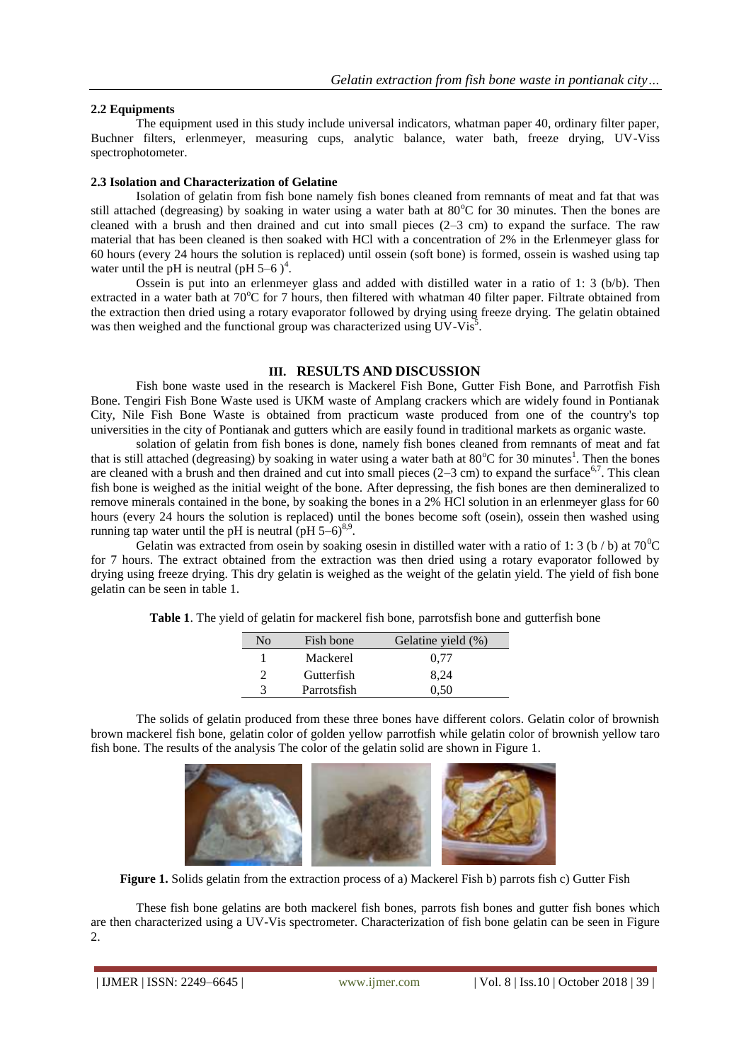## **2.2 Equipments**

The equipment used in this study include universal indicators, whatman paper 40, ordinary filter paper, Buchner filters, erlenmeyer, measuring cups, analytic balance, water bath, freeze drying, UV-Viss spectrophotometer.

### **2.3 Isolation and Characterization of Gelatine**

Isolation of gelatin from fish bone namely fish bones cleaned from remnants of meat and fat that was still attached (degreasing) by soaking in water using a water bath at  $80^{\circ}$ C for 30 minutes. Then the bones are cleaned with a brush and then drained and cut into small pieces (2‒3 cm) to expand the surface. The raw material that has been cleaned is then soaked with HCl with a concentration of 2% in the Erlenmeyer glass for 60 hours (every 24 hours the solution is replaced) until ossein (soft bone) is formed, ossein is washed using tap water until the pH is neutral (pH  $5-6$ )<sup>4</sup>.

Ossein is put into an erlenmeyer glass and added with distilled water in a ratio of 1: 3 (b/b). Then extracted in a water bath at 70°C for 7 hours, then filtered with whatman 40 filter paper. Filtrate obtained from the extraction then dried using a rotary evaporator followed by drying using freeze drying. The gelatin obtained was then weighed and the functional group was characterized using UV-Vis<sup>5</sup>.

# **III. RESULTS AND DISCUSSION**

Fish bone waste used in the research is Mackerel Fish Bone, Gutter Fish Bone, and Parrotfish Fish Bone. Tengiri Fish Bone Waste used is UKM waste of Amplang crackers which are widely found in Pontianak City, Nile Fish Bone Waste is obtained from practicum waste produced from one of the country's top universities in the city of Pontianak and gutters which are easily found in traditional markets as organic waste.

solation of gelatin from fish bones is done, namely fish bones cleaned from remnants of meat and fat that is still attached (degreasing) by soaking in water using a water bath at  $80^{\circ}$ C for 30 minutes<sup>1</sup>. Then the bones are cleaned with a brush and then drained and cut into small pieces  $(2-3$  cm) to expand the surface<sup>6,7</sup>. This clean fish bone is weighed as the initial weight of the bone. After depressing, the fish bones are then demineralized to remove minerals contained in the bone, by soaking the bones in a 2% HCl solution in an erlenmeyer glass for 60 hours (every 24 hours the solution is replaced) until the bones become soft (osein), ossein then washed using running tap water until the pH is neutral (pH  $5-6$ )<sup>8,9</sup>.

Gelatin was extracted from osein by soaking osesin in distilled water with a ratio of 1: 3 (b / b) at  $70^{\circ}$ C for 7 hours. The extract obtained from the extraction was then dried using a rotary evaporator followed by drying using freeze drying. This dry gelatin is weighed as the weight of the gelatin yield. The yield of fish bone gelatin can be seen in table 1.

| Nο | Fish bone   | Gelatine yield (%) |
|----|-------------|--------------------|
|    | Mackerel    | 0.77               |
|    | Gutterfish  | 8.24               |
| 2  | Parrotsfish | ი รი               |

**Table 1**. The yield of gelatin for mackerel fish bone, parrotsfish bone and gutterfish bone

The solids of gelatin produced from these three bones have different colors. Gelatin color of brownish brown mackerel fish bone, gelatin color of golden yellow parrotfish while gelatin color of brownish yellow taro fish bone. The results of the analysis The color of the gelatin solid are shown in Figure 1.



**Figure 1.** Solids gelatin from the extraction process of a) Mackerel Fish b) parrots fish c) Gutter Fish

These fish bone gelatins are both mackerel fish bones, parrots fish bones and gutter fish bones which are then characterized using a UV-Vis spectrometer. Characterization of fish bone gelatin can be seen in Figure 2.